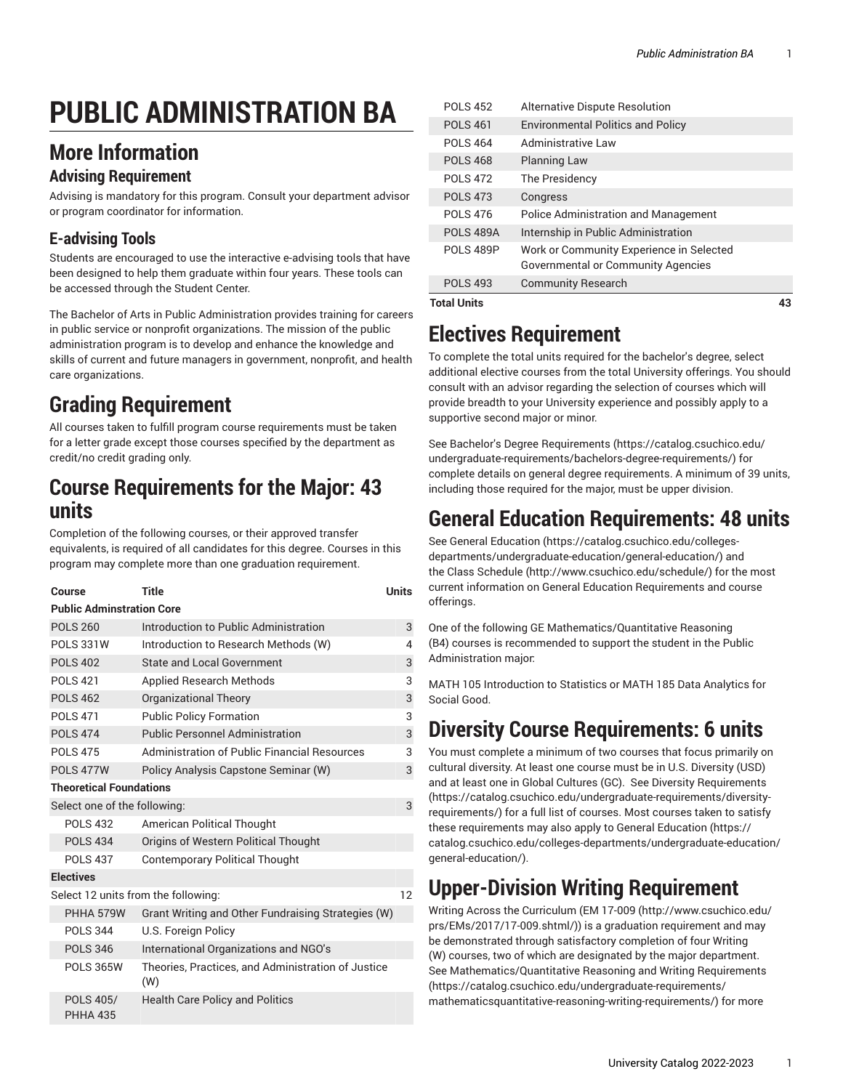# **PUBLIC ADMINISTRATION BA**

#### **More Information**

#### **Advising Requirement**

Advising is mandatory for this program. Consult your department advisor or program coordinator for information.

#### **E-advising Tools**

Students are encouraged to use the interactive e-advising tools that have been designed to help them graduate within four years. These tools can be accessed through the Student Center.

The Bachelor of Arts in Public Administration provides training for careers in public service or nonprofit organizations. The mission of the public administration program is to develop and enhance the knowledge and skills of current and future managers in government, nonprofit, and health care organizations.

## **Grading Requirement**

All courses taken to fulfill program course requirements must be taken for a letter grade except those courses specified by the department as credit/no credit grading only.

#### **Course Requirements for the Major: 43 units**

Completion of the following courses, or their approved transfer equivalents, is required of all candidates for this degree. Courses in this program may complete more than one graduation requirement.

| Course                              | <b>Title</b>                                              | <b>Units</b> |  |  |
|-------------------------------------|-----------------------------------------------------------|--------------|--|--|
| <b>Public Adminstration Core</b>    |                                                           |              |  |  |
| <b>POLS 260</b>                     | Introduction to Public Administration                     | 3            |  |  |
| <b>POLS 331W</b>                    | Introduction to Research Methods (W)                      | 4            |  |  |
| <b>POLS 402</b>                     | <b>State and Local Government</b>                         | 3            |  |  |
| <b>POLS 421</b>                     | <b>Applied Research Methods</b>                           | 3            |  |  |
| <b>POLS 462</b>                     | <b>Organizational Theory</b>                              | 3            |  |  |
| <b>POLS 471</b>                     | <b>Public Policy Formation</b>                            | 3            |  |  |
| <b>POLS 474</b>                     | <b>Public Personnel Administration</b>                    | 3            |  |  |
| <b>POLS 475</b>                     | Administration of Public Financial Resources              | 3            |  |  |
| <b>POLS 477W</b>                    | Policy Analysis Capstone Seminar (W)                      | 3            |  |  |
| <b>Theoretical Foundations</b>      |                                                           |              |  |  |
| Select one of the following:        |                                                           | 3            |  |  |
| <b>POLS 432</b>                     | <b>American Political Thought</b>                         |              |  |  |
| <b>POLS 434</b>                     | Origins of Western Political Thought                      |              |  |  |
| <b>POLS 437</b>                     | <b>Contemporary Political Thought</b>                     |              |  |  |
| <b>Electives</b>                    |                                                           |              |  |  |
| Select 12 units from the following: |                                                           |              |  |  |
| PHHA 579W                           | Grant Writing and Other Fundraising Strategies (W)        |              |  |  |
| <b>POLS 344</b>                     | U.S. Foreign Policy                                       |              |  |  |
| <b>POLS 346</b>                     | International Organizations and NGO's                     |              |  |  |
| <b>POLS 365W</b>                    | Theories, Practices, and Administration of Justice<br>(W) |              |  |  |
| POLS 405/<br><b>PHHA 435</b>        | <b>Health Care Policy and Politics</b>                    |              |  |  |

| <b>Total Units</b> |                                                                                |  |
|--------------------|--------------------------------------------------------------------------------|--|
| <b>POLS 493</b>    | <b>Community Research</b>                                                      |  |
| POLS 489P          | Work or Community Experience in Selected<br>Governmental or Community Agencies |  |
| <b>POLS 489A</b>   | Internship in Public Administration                                            |  |
| <b>POLS 476</b>    | <b>Police Administration and Management</b>                                    |  |
| <b>POLS 473</b>    | Congress                                                                       |  |
| <b>POLS 472</b>    | The Presidency                                                                 |  |
| <b>POLS 468</b>    | <b>Planning Law</b>                                                            |  |
| <b>POLS 464</b>    | Administrative Law                                                             |  |
| <b>POLS 461</b>    | <b>Environmental Politics and Policy</b>                                       |  |
| <b>POLS 452</b>    | Alternative Dispute Resolution                                                 |  |

## **Electives Requirement**

To complete the total units required for the bachelor's degree, select additional elective courses from the total University offerings. You should consult with an advisor regarding the selection of courses which will provide breadth to your University experience and possibly apply to a supportive second major or minor.

See Bachelor's Degree [Requirements \(https://catalog.csuchico.edu/](https://catalog.csuchico.edu/undergraduate-requirements/bachelors-degree-requirements/) [undergraduate-requirements/bachelors-degree-requirements/](https://catalog.csuchico.edu/undergraduate-requirements/bachelors-degree-requirements/)) for complete details on general degree requirements. A minimum of 39 units, including those required for the major, must be upper division.

#### **General Education Requirements: 48 units**

See General [Education \(https://catalog.csuchico.edu/colleges](https://catalog.csuchico.edu/colleges-departments/undergraduate-education/general-education/)[departments/undergraduate-education/general-education/\)](https://catalog.csuchico.edu/colleges-departments/undergraduate-education/general-education/) and the [Class Schedule](http://www.csuchico.edu/schedule/) ([http://www.csuchico.edu/schedule/\)](http://www.csuchico.edu/schedule/) for the most current information on General Education Requirements and course offerings.

One of the following GE Mathematics/Quantitative Reasoning (B4) courses is recommended to support the student in the Public Administration major:

MATH 105 Introduction to Statistics or MATH 185 Data Analytics for Social Good.

## **Diversity Course Requirements: 6 units**

You must complete a minimum of two courses that focus primarily on cultural diversity. At least one course must be in U.S. Diversity (USD) and at least one in Global Cultures (GC). See Diversity [Requirements](https://catalog.csuchico.edu/undergraduate-requirements/diversity-requirements/) [\(https://catalog.csuchico.edu/undergraduate-requirements/diversity](https://catalog.csuchico.edu/undergraduate-requirements/diversity-requirements/)[requirements/](https://catalog.csuchico.edu/undergraduate-requirements/diversity-requirements/)) for a full list of courses. Most courses taken to satisfy these requirements may also apply to General [Education \(https://](https://catalog.csuchico.edu/colleges-departments/undergraduate-education/general-education/) [catalog.csuchico.edu/colleges-departments/undergraduate-education/](https://catalog.csuchico.edu/colleges-departments/undergraduate-education/general-education/) [general-education/](https://catalog.csuchico.edu/colleges-departments/undergraduate-education/general-education/)).

# **Upper-Division Writing Requirement**

Writing Across the Curriculum [\(EM 17-009 \(http://www.csuchico.edu/](http://www.csuchico.edu/prs/EMs/2017/17-009.shtml/) [prs/EMs/2017/17-009.shtml/](http://www.csuchico.edu/prs/EMs/2017/17-009.shtml/))) is a graduation requirement and may be demonstrated through satisfactory completion of four Writing (W) courses, two of which are designated by the major department. See [Mathematics/Quantitative](https://catalog.csuchico.edu/undergraduate-requirements/mathematicsquantitative-reasoning-writing-requirements/) Reasoning and Writing Requirements [\(https://catalog.csuchico.edu/undergraduate-requirements/](https://catalog.csuchico.edu/undergraduate-requirements/mathematicsquantitative-reasoning-writing-requirements/) [mathematicsquantitative-reasoning-writing-requirements/\)](https://catalog.csuchico.edu/undergraduate-requirements/mathematicsquantitative-reasoning-writing-requirements/) for more